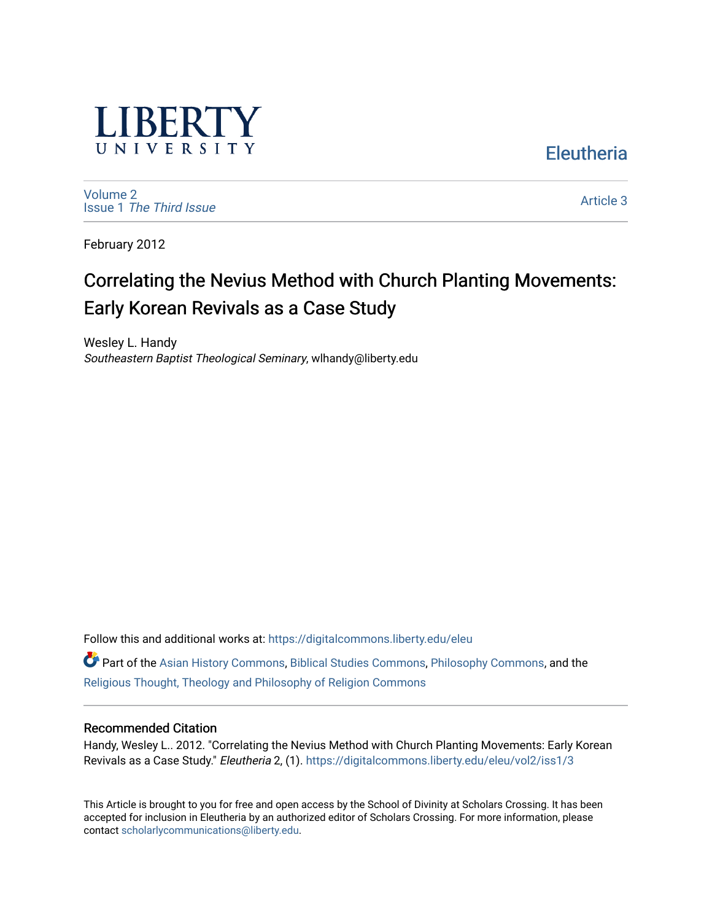

[Volume 2](https://digitalcommons.liberty.edu/eleu/vol2) Issue 1 [The Third Issue](https://digitalcommons.liberty.edu/eleu/vol2/iss1)

[Article 3](https://digitalcommons.liberty.edu/eleu/vol2/iss1/3) 

**Eleutheria** 

February 2012

# Correlating the Nevius Method with Church Planting Movements: Early Korean Revivals as a Case Study

Wesley L. Handy Southeastern Baptist Theological Seminary, wlhandy@liberty.edu

Follow this and additional works at: [https://digitalcommons.liberty.edu/eleu](https://digitalcommons.liberty.edu/eleu?utm_source=digitalcommons.liberty.edu%2Feleu%2Fvol2%2Fiss1%2F3&utm_medium=PDF&utm_campaign=PDFCoverPages) 

Part of the [Asian History Commons](http://network.bepress.com/hgg/discipline/491?utm_source=digitalcommons.liberty.edu%2Feleu%2Fvol2%2Fiss1%2F3&utm_medium=PDF&utm_campaign=PDFCoverPages), [Biblical Studies Commons](http://network.bepress.com/hgg/discipline/539?utm_source=digitalcommons.liberty.edu%2Feleu%2Fvol2%2Fiss1%2F3&utm_medium=PDF&utm_campaign=PDFCoverPages), [Philosophy Commons](http://network.bepress.com/hgg/discipline/525?utm_source=digitalcommons.liberty.edu%2Feleu%2Fvol2%2Fiss1%2F3&utm_medium=PDF&utm_campaign=PDFCoverPages), and the [Religious Thought, Theology and Philosophy of Religion Commons](http://network.bepress.com/hgg/discipline/544?utm_source=digitalcommons.liberty.edu%2Feleu%2Fvol2%2Fiss1%2F3&utm_medium=PDF&utm_campaign=PDFCoverPages) 

#### Recommended Citation

Handy, Wesley L.. 2012. "Correlating the Nevius Method with Church Planting Movements: Early Korean Revivals as a Case Study." Eleutheria 2, (1). [https://digitalcommons.liberty.edu/eleu/vol2/iss1/3](https://digitalcommons.liberty.edu/eleu/vol2/iss1/3?utm_source=digitalcommons.liberty.edu%2Feleu%2Fvol2%2Fiss1%2F3&utm_medium=PDF&utm_campaign=PDFCoverPages) 

This Article is brought to you for free and open access by the School of Divinity at Scholars Crossing. It has been accepted for inclusion in Eleutheria by an authorized editor of Scholars Crossing. For more information, please contact [scholarlycommunications@liberty.edu](mailto:scholarlycommunications@liberty.edu).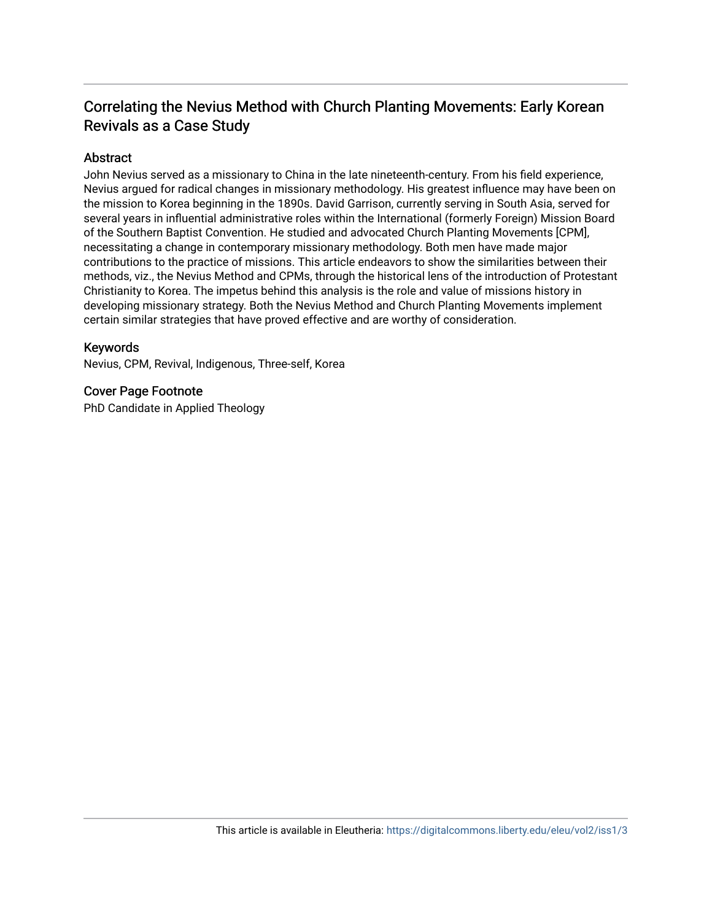# Correlating the Nevius Method with Church Planting Movements: Early Korean Revivals as a Case Study

# Abstract

John Nevius served as a missionary to China in the late nineteenth-century. From his field experience, Nevius argued for radical changes in missionary methodology. His greatest influence may have been on the mission to Korea beginning in the 1890s. David Garrison, currently serving in South Asia, served for several years in influential administrative roles within the International (formerly Foreign) Mission Board of the Southern Baptist Convention. He studied and advocated Church Planting Movements [CPM], necessitating a change in contemporary missionary methodology. Both men have made major contributions to the practice of missions. This article endeavors to show the similarities between their methods, viz., the Nevius Method and CPMs, through the historical lens of the introduction of Protestant Christianity to Korea. The impetus behind this analysis is the role and value of missions history in developing missionary strategy. Both the Nevius Method and Church Planting Movements implement certain similar strategies that have proved effective and are worthy of consideration.

#### Keywords

Nevius, CPM, Revival, Indigenous, Three-self, Korea

### Cover Page Footnote

PhD Candidate in Applied Theology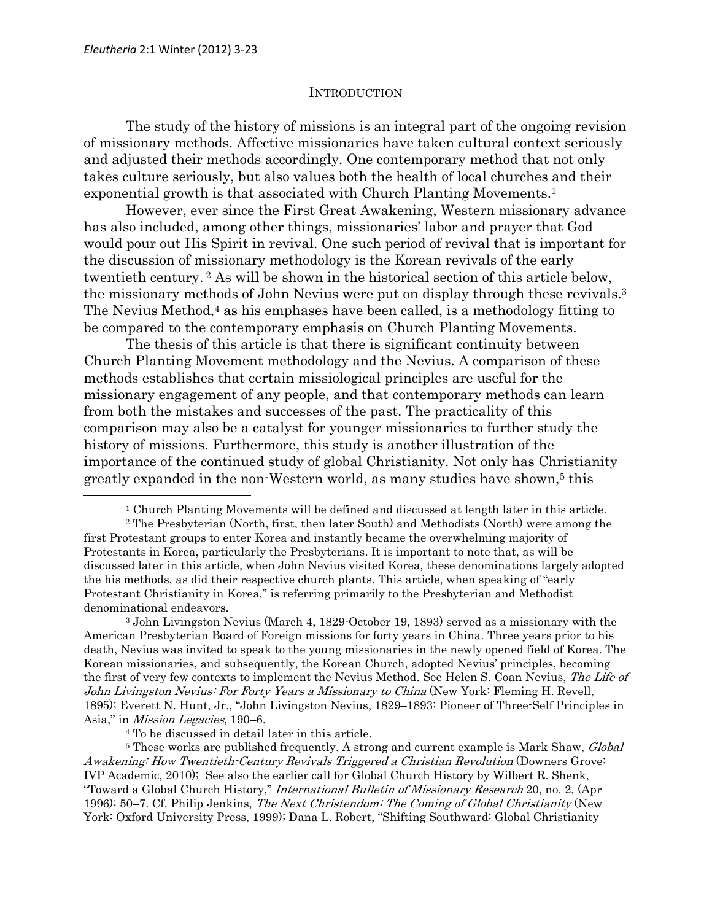#### INTRODUCTION

The study of the history of missions is an integral part of the ongoing revision of missionary methods. Affective missionaries have taken cultural context seriously and adjusted their methods accordingly. One contemporary method that not only takes culture seriously, but also values both the health of local churches and their exponential growth is that associated with Church Planting Movements.<sup>1</sup>

However, ever since the First Great Awakening, Western missionary advance has also included, among other things, missionaries' labor and prayer that God would pour out His Spirit in revival. One such period of revival that is important for the discussion of missionary methodology is the Korean revivals of the early twentieth century. 2 As will be shown in the historical section of this article below, the missionary methods of John Nevius were put on display through these revivals.<sup>3</sup> The Nevius Method,<sup>4</sup> as his emphases have been called, is a methodology fitting to be compared to the contemporary emphasis on Church Planting Movements.

The thesis of this article is that there is significant continuity between Church Planting Movement methodology and the Nevius. A comparison of these methods establishes that certain missiological principles are useful for the missionary engagement of any people, and that contemporary methods can learn from both the mistakes and successes of the past. The practicality of this comparison may also be a catalyst for younger missionaries to further study the history of missions. Furthermore, this study is another illustration of the importance of the continued study of global Christianity. Not only has Christianity greatly expanded in the non-Western world, as many studies have shown,<sup>5</sup> this  $\overline{a}$ 

<sup>1</sup> Church Planting Movements will be defined and discussed at length later in this article.

<sup>2</sup> The Presbyterian (North, first, then later South) and Methodists (North) were among the first Protestant groups to enter Korea and instantly became the overwhelming majority of Protestants in Korea, particularly the Presbyterians. It is important to note that, as will be discussed later in this article, when John Nevius visited Korea, these denominations largely adopted the his methods, as did their respective church plants. This article, when speaking of "early Protestant Christianity in Korea," is referring primarily to the Presbyterian and Methodist denominational endeavors.

<sup>3</sup> John Livingston Nevius (March 4, 1829-October 19, 1893) served as a missionary with the American Presbyterian Board of Foreign missions for forty years in China. Three years prior to his death, Nevius was invited to speak to the young missionaries in the newly opened field of Korea. The Korean missionaries, and subsequently, the Korean Church, adopted Nevius' principles, becoming the first of very few contexts to implement the Nevius Method. See Helen S. Coan Nevius, The Life of John Livingston Nevius: For Forty Years a Missionary to China (New York: Fleming H. Revell, 1895); Everett N. Hunt, Jr., "John Livingston Nevius, 1829–1893: Pioneer of Three-Self Principles in Asia," in Mission Legacies, 190–6.

<sup>4</sup> To be discussed in detail later in this article.

<sup>&</sup>lt;sup>5</sup> These works are published frequently. A strong and current example is Mark Shaw, *Global* Awakening: How Twentieth-Century Revivals Triggered a Christian Revolution (Downers Grove: IVP Academic, 2010); See also the earlier call for Global Church History by Wilbert R. Shenk, "Toward a Global Church History," *International Bulletin of Missionary Research* 20, no. 2, (Apr 1996): 50–7. Cf. Philip Jenkins, The Next Christendom: The Coming of Global Christianity (New York: Oxford University Press, 1999); Dana L. Robert, "Shifting Southward: Global Christianity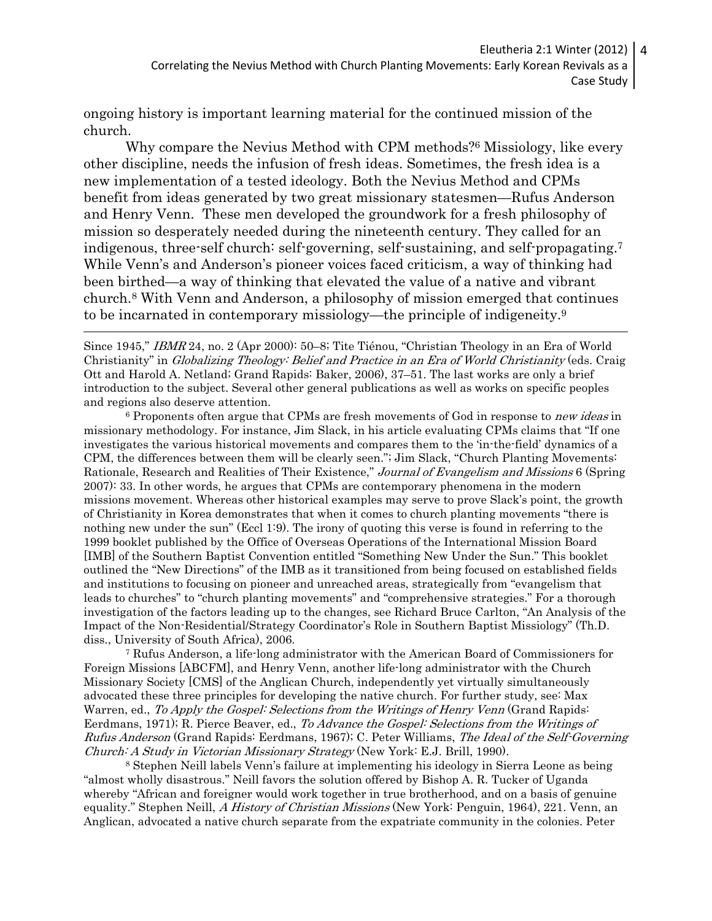ongoing history is important learning material for the continued mission of the church.

Why compare the Nevius Method with CPM methods?6 Missiology, like every other discipline, needs the infusion of fresh ideas. Sometimes, the fresh idea is a new implementation of a tested ideology. Both the Nevius Method and CPMs benefit from ideas generated by two great missionary statesmen—Rufus Anderson and Henry Venn. These men developed the groundwork for a fresh philosophy of mission so desperately needed during the nineteenth century. They called for an indigenous, three-self church: self-governing, self-sustaining, and self-propagating.<sup>7</sup> While Venn's and Anderson's pioneer voices faced criticism, a way of thinking had been birthed—a way of thinking that elevated the value of a native and vibrant church.8 With Venn and Anderson, a philosophy of mission emerged that continues to be incarnated in contemporary missiology—the principle of indigeneity.<sup>9</sup>  $\overline{a}$ 

Since 1945," IBMR 24, no. 2 (Apr 2000): 50–8; Tite Tiénou, "Christian Theology in an Era of World Christianity" in Globalizing Theology: Belief and Practice in an Era of World Christianity (eds. Craig Ott and Harold A. Netland; Grand Rapids: Baker, 2006), 37–51. The last works are only a brief introduction to the subject. Several other general publications as well as works on specific peoples and regions also deserve attention.

<sup>6</sup> Proponents often argue that CPMs are fresh movements of God in response to new ideas in missionary methodology. For instance, Jim Slack, in his article evaluating CPMs claims that "If one investigates the various historical movements and compares them to the 'in-the-field' dynamics of a CPM, the differences between them will be clearly seen."; Jim Slack, "Church Planting Movements: Rationale, Research and Realities of Their Existence," Journal of Evangelism and Missions 6 (Spring 2007): 33. In other words, he argues that CPMs are contemporary phenomena in the modern missions movement. Whereas other historical examples may serve to prove Slack's point, the growth of Christianity in Korea demonstrates that when it comes to church planting movements "there is nothing new under the sun" (Eccl 1:9). The irony of quoting this verse is found in referring to the 1999 booklet published by the Office of Overseas Operations of the International Mission Board [IMB] of the Southern Baptist Convention entitled "Something New Under the Sun." This booklet outlined the "New Directions" of the IMB as it transitioned from being focused on established fields and institutions to focusing on pioneer and unreached areas, strategically from "evangelism that leads to churches" to "church planting movements" and "comprehensive strategies." For a thorough investigation of the factors leading up to the changes, see Richard Bruce Carlton, "An Analysis of the Impact of the Non-Residential/Strategy Coordinator's Role in Southern Baptist Missiology" (Th.D. diss., University of South Africa), 2006.

<sup>7</sup> Rufus Anderson, a life-long administrator with the American Board of Commissioners for Foreign Missions [ABCFM], and Henry Venn, another life-long administrator with the Church Missionary Society [CMS] of the Anglican Church, independently yet virtually simultaneously advocated these three principles for developing the native church. For further study, see: Max Warren, ed., To Apply the Gospel: Selections from the Writings of Henry Venn (Grand Rapids: Eerdmans, 1971); R. Pierce Beaver, ed., To Advance the Gospel: Selections from the Writings of Rufus Anderson (Grand Rapids: Eerdmans, 1967); C. Peter Williams, The Ideal of the Self-Governing Church: A Study in Victorian Missionary Strategy (New York: E.J. Brill, 1990).

<sup>8</sup> Stephen Neill labels Venn's failure at implementing his ideology in Sierra Leone as being "almost wholly disastrous." Neill favors the solution offered by Bishop A. R. Tucker of Uganda whereby "African and foreigner would work together in true brotherhood, and on a basis of genuine equality." Stephen Neill, A History of Christian Missions (New York: Penguin, 1964), 221. Venn, an Anglican, advocated a native church separate from the expatriate community in the colonies. Peter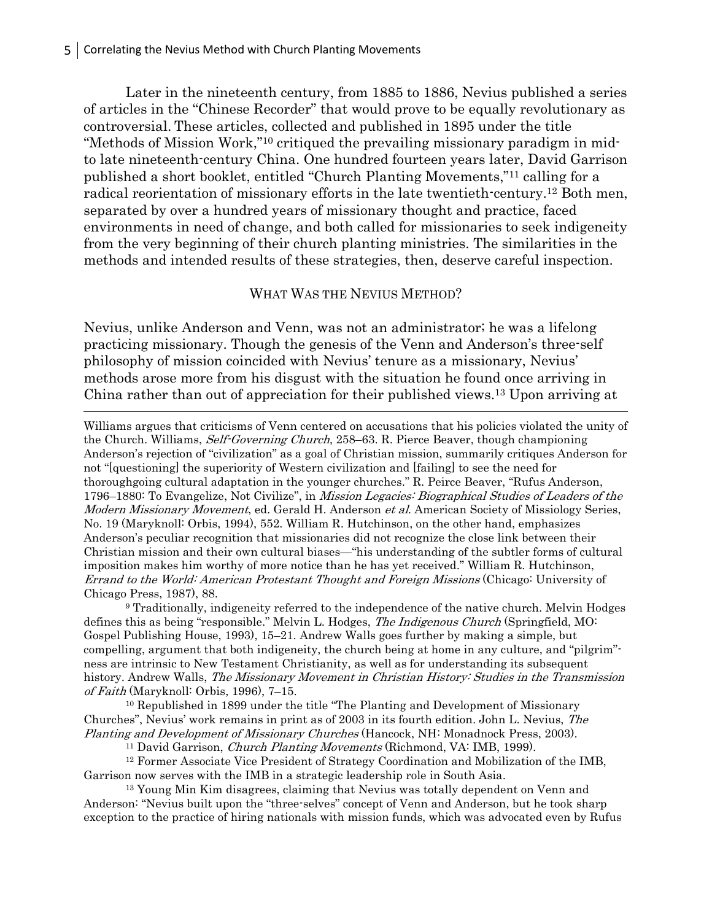Later in the nineteenth century, from 1885 to 1886, Nevius published a series of articles in the "Chinese Recorder" that would prove to be equally revolutionary as controversial. These articles, collected and published in 1895 under the title "Methods of Mission Work,"10 critiqued the prevailing missionary paradigm in midto late nineteenth-century China. One hundred fourteen years later, David Garrison published a short booklet, entitled "Church Planting Movements,"11 calling for a radical reorientation of missionary efforts in the late twentieth-century.12 Both men, separated by over a hundred years of missionary thought and practice, faced environments in need of change, and both called for missionaries to seek indigeneity from the very beginning of their church planting ministries. The similarities in the methods and intended results of these strategies, then, deserve careful inspection.

#### WHAT WAS THE NEVIUS METHOD?

Nevius, unlike Anderson and Venn, was not an administrator; he was a lifelong practicing missionary. Though the genesis of the Venn and Anderson's three-self philosophy of mission coincided with Nevius' tenure as a missionary, Nevius' methods arose more from his disgust with the situation he found once arriving in China rather than out of appreciation for their published views.13 Upon arriving at  $\overline{a}$ 

Williams argues that criticisms of Venn centered on accusations that his policies violated the unity of the Church. Williams, Self-Governing Church, 258–63. R. Pierce Beaver, though championing Anderson's rejection of "civilization" as a goal of Christian mission, summarily critiques Anderson for not "[questioning] the superiority of Western civilization and [failing] to see the need for thoroughgoing cultural adaptation in the younger churches." R. Peirce Beaver, "Rufus Anderson, 1796–1880: To Evangelize, Not Civilize", in Mission Legacies: Biographical Studies of Leaders of the Modern Missionary Movement, ed. Gerald H. Anderson et al. American Society of Missiology Series, No. 19 (Maryknoll: Orbis, 1994), 552. William R. Hutchinson, on the other hand, emphasizes Anderson's peculiar recognition that missionaries did not recognize the close link between their Christian mission and their own cultural biases—"his understanding of the subtler forms of cultural imposition makes him worthy of more notice than he has yet received." William R. Hutchinson, Errand to the World: American Protestant Thought and Foreign Missions (Chicago: University of Chicago Press, 1987), 88.

<sup>9</sup> Traditionally, indigeneity referred to the independence of the native church. Melvin Hodges defines this as being "responsible." Melvin L. Hodges, *The Indigenous Church* (Springfield, MO: Gospel Publishing House, 1993), 15–21. Andrew Walls goes further by making a simple, but compelling, argument that both indigeneity, the church being at home in any culture, and "pilgrim" ness are intrinsic to New Testament Christianity, as well as for understanding its subsequent history. Andrew Walls, The Missionary Movement in Christian History: Studies in the Transmission of Faith (Maryknoll: Orbis, 1996), 7–15.

<sup>10</sup> Republished in 1899 under the title "The Planting and Development of Missionary Churches", Nevius' work remains in print as of 2003 in its fourth edition. John L. Nevius, The Planting and Development of Missionary Churches (Hancock, NH: Monadnock Press, 2003).

<sup>11</sup> David Garrison, *Church Planting Movements* (Richmond, VA: IMB, 1999).

<sup>12</sup> Former Associate Vice President of Strategy Coordination and Mobilization of the IMB, Garrison now serves with the IMB in a strategic leadership role in South Asia.

<sup>13</sup> Young Min Kim disagrees, claiming that Nevius was totally dependent on Venn and Anderson: "Nevius built upon the "three-selves" concept of Venn and Anderson, but he took sharp exception to the practice of hiring nationals with mission funds, which was advocated even by Rufus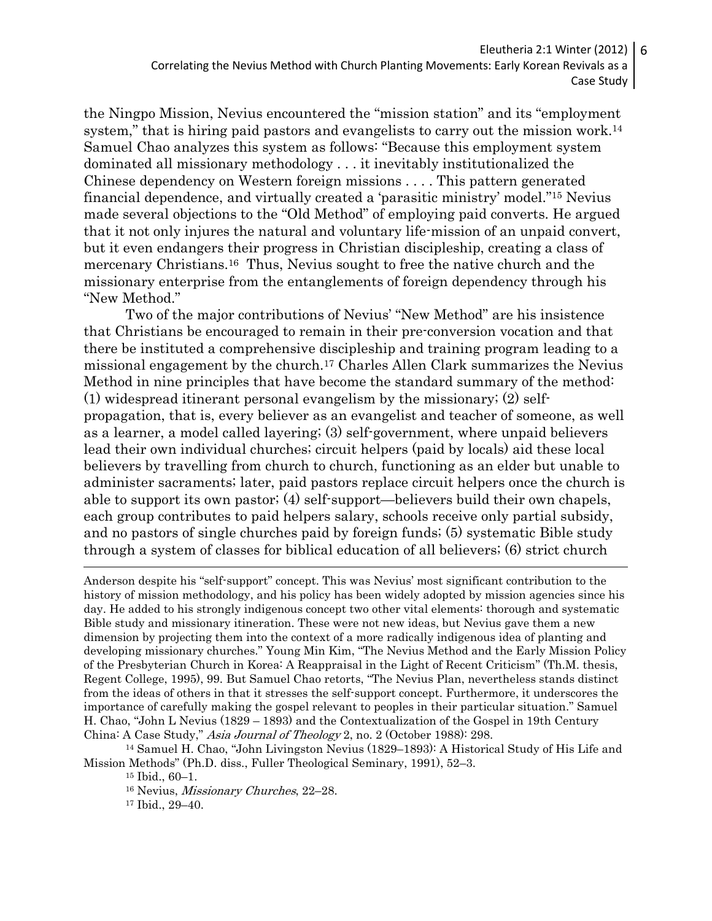Eleutheria 2:1 Winter (2012) Correlating the Nevius Method with Church Planting Movements: Early Korean Revivals as a Case Study

the Ningpo Mission, Nevius encountered the "mission station" and its "employment system," that is hiring paid pastors and evangelists to carry out the mission work.<sup>14</sup> Samuel Chao analyzes this system as follows: "Because this employment system dominated all missionary methodology . . . it inevitably institutionalized the Chinese dependency on Western foreign missions . . . . This pattern generated financial dependence, and virtually created a 'parasitic ministry' model."15 Nevius made several objections to the "Old Method" of employing paid converts. He argued that it not only injures the natural and voluntary life-mission of an unpaid convert, but it even endangers their progress in Christian discipleship, creating a class of mercenary Christians.16 Thus, Nevius sought to free the native church and the missionary enterprise from the entanglements of foreign dependency through his "New Method."

Two of the major contributions of Nevius' "New Method" are his insistence that Christians be encouraged to remain in their pre-conversion vocation and that there be instituted a comprehensive discipleship and training program leading to a missional engagement by the church.17 Charles Allen Clark summarizes the Nevius Method in nine principles that have become the standard summary of the method: (1) widespread itinerant personal evangelism by the missionary; (2) selfpropagation, that is, every believer as an evangelist and teacher of someone, as well as a learner, a model called layering; (3) self-government, where unpaid believers lead their own individual churches; circuit helpers (paid by locals) aid these local believers by travelling from church to church, functioning as an elder but unable to administer sacraments; later, paid pastors replace circuit helpers once the church is able to support its own pastor; (4) self-support—believers build their own chapels, each group contributes to paid helpers salary, schools receive only partial subsidy, and no pastors of single churches paid by foreign funds; (5) systematic Bible study through a system of classes for biblical education of all believers; (6) strict church  $\overline{a}$ 

Anderson despite his "self-support" concept. This was Nevius' most significant contribution to the history of mission methodology, and his policy has been widely adopted by mission agencies since his day. He added to his strongly indigenous concept two other vital elements: thorough and systematic Bible study and missionary itineration. These were not new ideas, but Nevius gave them a new dimension by projecting them into the context of a more radically indigenous idea of planting and developing missionary churches." Young Min Kim, "The Nevius Method and the Early Mission Policy of the Presbyterian Church in Korea: A Reappraisal in the Light of Recent Criticism" (Th.M. thesis, Regent College, 1995), 99. But Samuel Chao retorts, "The Nevius Plan, nevertheless stands distinct from the ideas of others in that it stresses the self-support concept. Furthermore, it underscores the importance of carefully making the gospel relevant to peoples in their particular situation." Samuel H. Chao, "John L Nevius (1829 – 1893) and the Contextualization of the Gospel in 19th Century China: A Case Study," Asia Journal of Theology 2, no. 2 (October 1988): 298.

<sup>14</sup> Samuel H. Chao, "John Livingston Nevius (1829–1893): A Historical Study of His Life and Mission Methods" (Ph.D. diss., Fuller Theological Seminary, 1991), 52–3.

<sup>16</sup> Nevius, Missionary Churches, 22–28.

17 Ibid., 29–40.

6

<sup>15</sup> Ibid., 60–1.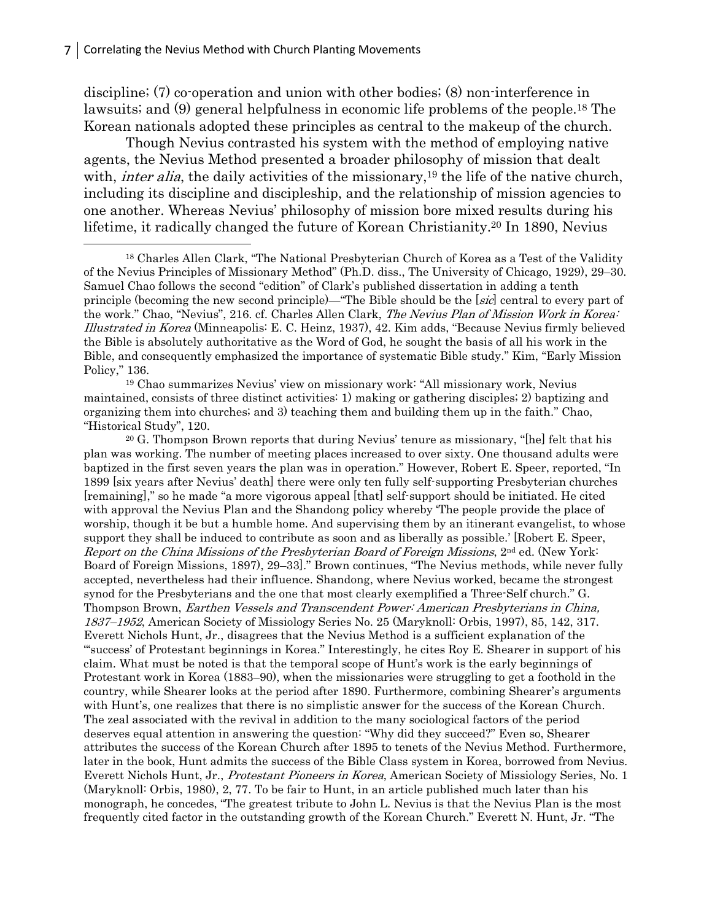discipline; (7) co-operation and union with other bodies; (8) non-interference in lawsuits; and (9) general helpfulness in economic life problems of the people.18 The Korean nationals adopted these principles as central to the makeup of the church.

Though Nevius contrasted his system with the method of employing native agents, the Nevius Method presented a broader philosophy of mission that dealt with, *inter alia*, the daily activities of the missionary,<sup>19</sup> the life of the native church, including its discipline and discipleship, and the relationship of mission agencies to one another. Whereas Nevius' philosophy of mission bore mixed results during his lifetime, it radically changed the future of Korean Christianity.20 In 1890, Nevius  $\overline{a}$ 

<sup>19</sup> Chao summarizes Nevius' view on missionary work: "All missionary work, Nevius maintained, consists of three distinct activities: 1) making or gathering disciples; 2) baptizing and organizing them into churches; and 3) teaching them and building them up in the faith." Chao, "Historical Study", 120.

<sup>20</sup> G. Thompson Brown reports that during Nevius' tenure as missionary, "[he] felt that his plan was working. The number of meeting places increased to over sixty. One thousand adults were baptized in the first seven years the plan was in operation." However, Robert E. Speer, reported, "In 1899 [six years after Nevius' death] there were only ten fully self-supporting Presbyterian churches [remaining]," so he made "a more vigorous appeal [that] self-support should be initiated. He cited with approval the Nevius Plan and the Shandong policy whereby 'The people provide the place of worship, though it be but a humble home. And supervising them by an itinerant evangelist, to whose support they shall be induced to contribute as soon and as liberally as possible.' [Robert E. Speer, Report on the China Missions of the Presbyterian Board of Foreign Missions,  $2^{nd}$  ed. (New York: Board of Foreign Missions, 1897), 29–33]." Brown continues, "The Nevius methods, while never fully accepted, nevertheless had their influence. Shandong, where Nevius worked, became the strongest synod for the Presbyterians and the one that most clearly exemplified a Three-Self church." G. Thompson Brown, Earthen Vessels and Transcendent Power: American Presbyterians in China, 1837–1952, American Society of Missiology Series No. 25 (Maryknoll: Orbis, 1997), 85, 142, 317. Everett Nichols Hunt, Jr., disagrees that the Nevius Method is a sufficient explanation of the "'success' of Protestant beginnings in Korea." Interestingly, he cites Roy E. Shearer in support of his claim. What must be noted is that the temporal scope of Hunt's work is the early beginnings of Protestant work in Korea (1883–90), when the missionaries were struggling to get a foothold in the country, while Shearer looks at the period after 1890. Furthermore, combining Shearer's arguments with Hunt's, one realizes that there is no simplistic answer for the success of the Korean Church. The zeal associated with the revival in addition to the many sociological factors of the period deserves equal attention in answering the question: "Why did they succeed?" Even so, Shearer attributes the success of the Korean Church after 1895 to tenets of the Nevius Method. Furthermore, later in the book, Hunt admits the success of the Bible Class system in Korea, borrowed from Nevius. Everett Nichols Hunt, Jr., Protestant Pioneers in Korea, American Society of Missiology Series, No. 1 (Maryknoll: Orbis, 1980), 2, 77. To be fair to Hunt, in an article published much later than his monograph, he concedes, "The greatest tribute to John L. Nevius is that the Nevius Plan is the most frequently cited factor in the outstanding growth of the Korean Church." Everett N. Hunt, Jr. "The

<sup>18</sup> Charles Allen Clark, "The National Presbyterian Church of Korea as a Test of the Validity of the Nevius Principles of Missionary Method" (Ph.D. diss., The University of Chicago, 1929), 29–30. Samuel Chao follows the second "edition" of Clark's published dissertation in adding a tenth principle (becoming the new second principle)—"The Bible should be the [sic] central to every part of the work." Chao, "Nevius", 216. cf. Charles Allen Clark, The Nevius Plan of Mission Work in Korea: Illustrated in Korea (Minneapolis: E. C. Heinz, 1937), 42. Kim adds, "Because Nevius firmly believed the Bible is absolutely authoritative as the Word of God, he sought the basis of all his work in the Bible, and consequently emphasized the importance of systematic Bible study." Kim, "Early Mission Policy," 136.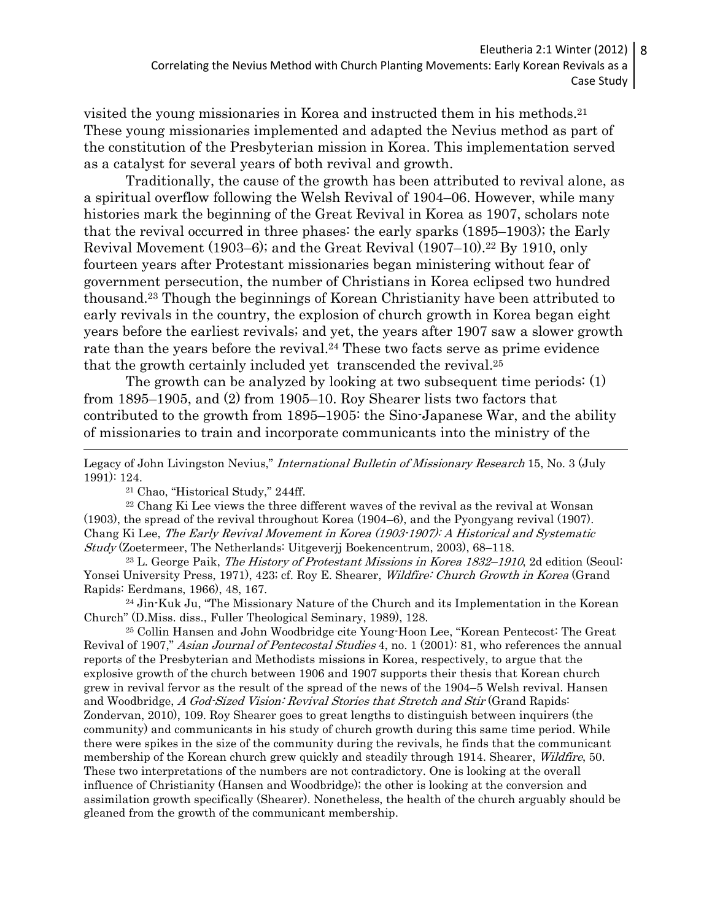visited the young missionaries in Korea and instructed them in his methods.<sup>21</sup> These young missionaries implemented and adapted the Nevius method as part of the constitution of the Presbyterian mission in Korea. This implementation served as a catalyst for several years of both revival and growth.

Traditionally, the cause of the growth has been attributed to revival alone, as a spiritual overflow following the Welsh Revival of 1904–06. However, while many histories mark the beginning of the Great Revival in Korea as 1907, scholars note that the revival occurred in three phases: the early sparks (1895–1903); the Early Revival Movement (1903–6); and the Great Revival (1907–10). <sup>22</sup> By 1910, only fourteen years after Protestant missionaries began ministering without fear of government persecution, the number of Christians in Korea eclipsed two hundred thousand.23 Though the beginnings of Korean Christianity have been attributed to early revivals in the country, the explosion of church growth in Korea began eight years before the earliest revivals; and yet, the years after 1907 saw a slower growth rate than the years before the revival.<sup>24</sup> These two facts serve as prime evidence that the growth certainly included yet transcended the revival.<sup>25</sup>

The growth can be analyzed by looking at two subsequent time periods: (1) from 1895–1905, and (2) from 1905–10. Roy Shearer lists two factors that contributed to the growth from 1895–1905: the Sino-Japanese War, and the ability of missionaries to train and incorporate communicants into the ministry of the  $\overline{a}$ 

<sup>21</sup> Chao, "Historical Study," 244ff.

<sup>22</sup> Chang Ki Lee views the three different waves of the revival as the revival at Wonsan (1903), the spread of the revival throughout Korea (1904–6), and the Pyongyang revival (1907). Chang Ki Lee, The Early Revival Movement in Korea (1903-1907): A Historical and Systematic Study (Zoetermeer, The Netherlands: Uitgeverjj Boekencentrum, 2003), 68–118.

 $^{23}$  L. George Paik, *The History of Protestant Missions in Korea 1832–1910*, 2d edition (Seoul: Yonsei University Press, 1971), 423; cf. Roy E. Shearer, Wildfire: Church Growth in Korea (Grand Rapids: Eerdmans, 1966), 48, 167.

<sup>24</sup> Jin-Kuk Ju, "The Missionary Nature of the Church and its Implementation in the Korean Church" (D.Miss. diss., Fuller Theological Seminary, 1989), 128.

<sup>25</sup> Collin Hansen and John Woodbridge cite Young-Hoon Lee, "Korean Pentecost: The Great Revival of 1907," Asian Journal of Pentecostal Studies 4, no. 1 (2001): 81, who references the annual reports of the Presbyterian and Methodists missions in Korea, respectively, to argue that the explosive growth of the church between 1906 and 1907 supports their thesis that Korean church grew in revival fervor as the result of the spread of the news of the 1904–5 Welsh revival. Hansen and Woodbridge, A God-Sized Vision: Revival Stories that Stretch and Stir (Grand Rapids: Zondervan, 2010), 109. Roy Shearer goes to great lengths to distinguish between inquirers (the community) and communicants in his study of church growth during this same time period. While there were spikes in the size of the community during the revivals, he finds that the communicant membership of the Korean church grew quickly and steadily through 1914. Shearer, *Wildfire*, 50. These two interpretations of the numbers are not contradictory. One is looking at the overall influence of Christianity (Hansen and Woodbridge); the other is looking at the conversion and assimilation growth specifically (Shearer). Nonetheless, the health of the church arguably should be gleaned from the growth of the communicant membership.

Legacy of John Livingston Nevius," International Bulletin of Missionary Research 15, No. 3 (July 1991): 124.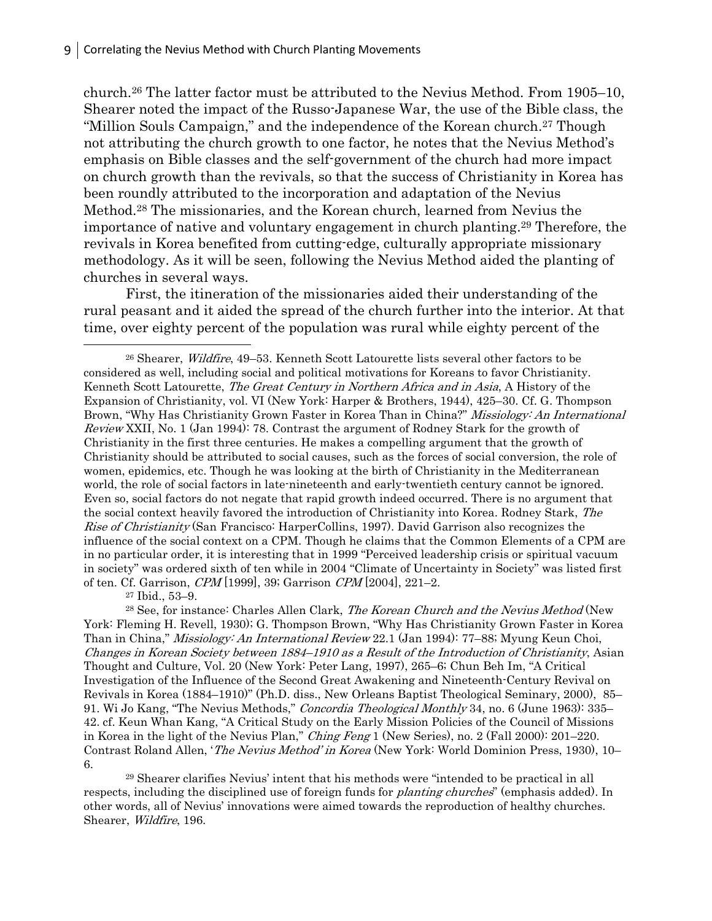church.26 The latter factor must be attributed to the Nevius Method. From 1905–10, Shearer noted the impact of the Russo-Japanese War, the use of the Bible class, the "Million Souls Campaign," and the independence of the Korean church.<sup>27</sup> Though not attributing the church growth to one factor, he notes that the Nevius Method's emphasis on Bible classes and the self-government of the church had more impact on church growth than the revivals, so that the success of Christianity in Korea has been roundly attributed to the incorporation and adaptation of the Nevius Method.28 The missionaries, and the Korean church, learned from Nevius the importance of native and voluntary engagement in church planting.29 Therefore, the revivals in Korea benefited from cutting-edge, culturally appropriate missionary methodology. As it will be seen, following the Nevius Method aided the planting of churches in several ways.

First, the itineration of the missionaries aided their understanding of the rural peasant and it aided the spread of the church further into the interior. At that time, over eighty percent of the population was rural while eighty percent of the  $\overline{a}$ 

<sup>26</sup> Shearer, *Wildfire*, 49–53. Kenneth Scott Latourette lists several other factors to be considered as well, including social and political motivations for Koreans to favor Christianity. Kenneth Scott Latourette, The Great Century in Northern Africa and in Asia, A History of the Expansion of Christianity, vol. VI (New York: Harper & Brothers, 1944), 425–30. Cf. G. Thompson Brown, "Why Has Christianity Grown Faster in Korea Than in China?" Missiology: An International Review XXII, No. 1 (Jan 1994): 78. Contrast the argument of Rodney Stark for the growth of Christianity in the first three centuries. He makes a compelling argument that the growth of Christianity should be attributed to social causes, such as the forces of social conversion, the role of women, epidemics, etc. Though he was looking at the birth of Christianity in the Mediterranean world, the role of social factors in late-nineteenth and early-twentieth century cannot be ignored. Even so, social factors do not negate that rapid growth indeed occurred. There is no argument that the social context heavily favored the introduction of Christianity into Korea. Rodney Stark, The Rise of Christianity (San Francisco: HarperCollins, 1997). David Garrison also recognizes the influence of the social context on a CPM. Though he claims that the Common Elements of a CPM are in no particular order, it is interesting that in 1999 "Perceived leadership crisis or spiritual vacuum in society" was ordered sixth of ten while in 2004 "Climate of Uncertainty in Society" was listed first of ten. Cf. Garrison, CPM [1999], 39; Garrison CPM [2004], 221–2.

<sup>27</sup> Ibid., 53–9.

<sup>28</sup> See, for instance: Charles Allen Clark, *The Korean Church and the Nevius Method* (New York: Fleming H. Revell, 1930); G. Thompson Brown, "Why Has Christianity Grown Faster in Korea Than in China," Missiology: An International Review 22.1 (Jan 1994): 77–88; Myung Keun Choi, Changes in Korean Society between 1884–1910 as a Result of the Introduction of Christianity, Asian Thought and Culture, Vol. 20 (New York: Peter Lang, 1997), 265–6; Chun Beh Im, "A Critical Investigation of the Influence of the Second Great Awakening and Nineteenth-Century Revival on Revivals in Korea (1884–1910)" (Ph.D. diss., New Orleans Baptist Theological Seminary, 2000), 85– 91. Wi Jo Kang, "The Nevius Methods," Concordia Theological Monthly 34, no. 6 (June 1963): 335– 42. cf. Keun Whan Kang, "A Critical Study on the Early Mission Policies of the Council of Missions in Korea in the light of the Nevius Plan," Ching Feng 1 (New Series), no. 2 (Fall 2000): 201–220. Contrast Roland Allen, 'The Nevius Method' in Korea (New York: World Dominion Press, 1930), 10– 6.

<sup>29</sup> Shearer clarifies Nevius' intent that his methods were "intended to be practical in all respects, including the disciplined use of foreign funds for *planting churches*" (emphasis added). In other words, all of Nevius' innovations were aimed towards the reproduction of healthy churches. Shearer, Wildfire, 196.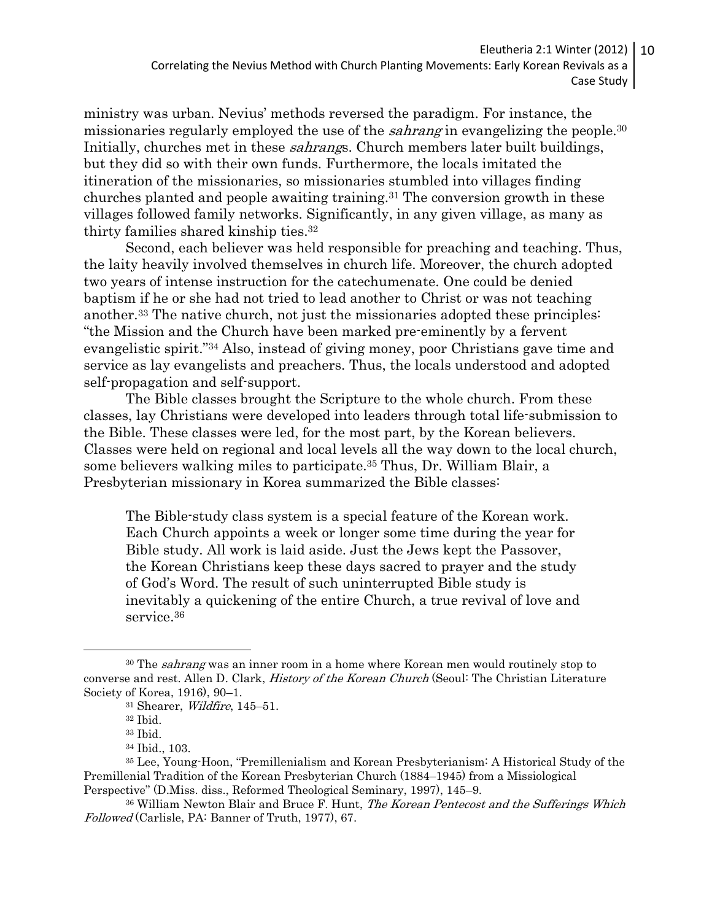ministry was urban. Nevius' methods reversed the paradigm. For instance, the missionaries regularly employed the use of the *sahrang* in evangelizing the people.<sup>30</sup> Initially, churches met in these *sahrangs*. Church members later built buildings, but they did so with their own funds. Furthermore, the locals imitated the itineration of the missionaries, so missionaries stumbled into villages finding churches planted and people awaiting training.31 The conversion growth in these villages followed family networks. Significantly, in any given village, as many as thirty families shared kinship ties.<sup>32</sup>

Second, each believer was held responsible for preaching and teaching. Thus, the laity heavily involved themselves in church life. Moreover, the church adopted two years of intense instruction for the catechumenate. One could be denied baptism if he or she had not tried to lead another to Christ or was not teaching another.33 The native church, not just the missionaries adopted these principles: "the Mission and the Church have been marked pre-eminently by a fervent evangelistic spirit."34 Also, instead of giving money, poor Christians gave time and service as lay evangelists and preachers. Thus, the locals understood and adopted self-propagation and self-support.

The Bible classes brought the Scripture to the whole church. From these classes, lay Christians were developed into leaders through total life-submission to the Bible. These classes were led, for the most part, by the Korean believers. Classes were held on regional and local levels all the way down to the local church, some believers walking miles to participate.35 Thus, Dr. William Blair, a Presbyterian missionary in Korea summarized the Bible classes:

The Bible-study class system is a special feature of the Korean work. Each Church appoints a week or longer some time during the year for Bible study. All work is laid aside. Just the Jews kept the Passover, the Korean Christians keep these days sacred to prayer and the study of God's Word. The result of such uninterrupted Bible study is inevitably a quickening of the entire Church, a true revival of love and service.<sup>36</sup>

 $\overline{a}$ 

<sup>&</sup>lt;sup>30</sup> The *sahrang* was an inner room in a home where Korean men would routinely stop to converse and rest. Allen D. Clark, History of the Korean Church (Seoul: The Christian Literature Society of Korea, 1916), 90–1.

<sup>31</sup> Shearer, Wildfire, 145–51.

<sup>32</sup> Ibid.

<sup>33</sup> Ibid.

<sup>34</sup> Ibid., 103.

<sup>35</sup> Lee, Young-Hoon, "Premillenialism and Korean Presbyterianism: A Historical Study of the Premillenial Tradition of the Korean Presbyterian Church (1884–1945) from a Missiological Perspective" (D.Miss. diss., Reformed Theological Seminary, 1997), 145–9.

<sup>&</sup>lt;sup>36</sup> William Newton Blair and Bruce F. Hunt, *The Korean Pentecost and the Sufferings Which* Followed (Carlisle, PA: Banner of Truth, 1977), 67.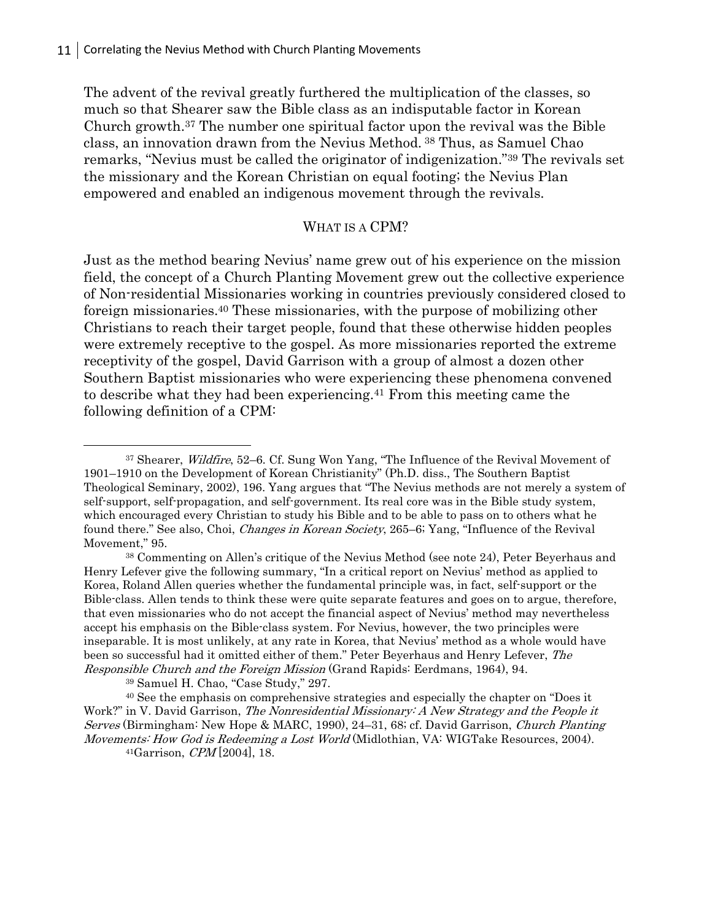The advent of the revival greatly furthered the multiplication of the classes, so much so that Shearer saw the Bible class as an indisputable factor in Korean Church growth.37 The number one spiritual factor upon the revival was the Bible class, an innovation drawn from the Nevius Method. 38 Thus, as Samuel Chao remarks, "Nevius must be called the originator of indigenization."39 The revivals set the missionary and the Korean Christian on equal footing; the Nevius Plan empowered and enabled an indigenous movement through the revivals.

### WHAT IS A CPM?

Just as the method bearing Nevius' name grew out of his experience on the mission field, the concept of a Church Planting Movement grew out the collective experience of Non-residential Missionaries working in countries previously considered closed to foreign missionaries.40 These missionaries, with the purpose of mobilizing other Christians to reach their target people, found that these otherwise hidden peoples were extremely receptive to the gospel. As more missionaries reported the extreme receptivity of the gospel, David Garrison with a group of almost a dozen other Southern Baptist missionaries who were experiencing these phenomena convened to describe what they had been experiencing.41 From this meeting came the following definition of a CPM:

<sup>38</sup> Commenting on Allen's critique of the Nevius Method (see note 24), Peter Beyerhaus and Henry Lefever give the following summary, "In a critical report on Nevius' method as applied to Korea, Roland Allen queries whether the fundamental principle was, in fact, self-support or the Bible-class. Allen tends to think these were quite separate features and goes on to argue, therefore, that even missionaries who do not accept the financial aspect of Nevius' method may nevertheless accept his emphasis on the Bible-class system. For Nevius, however, the two principles were inseparable. It is most unlikely, at any rate in Korea, that Nevius' method as a whole would have been so successful had it omitted either of them." Peter Beyerhaus and Henry Lefever, The Responsible Church and the Foreign Mission (Grand Rapids: Eerdmans, 1964), 94.

<sup>39</sup> Samuel H. Chao, "Case Study," 297.

 $\overline{a}$ 

<sup>40</sup> See the emphasis on comprehensive strategies and especially the chapter on "Does it Work?" in V. David Garrison, The Nonresidential Missionary: A New Strategy and the People it Serves (Birmingham: New Hope & MARC, 1990), 24–31, 68; cf. David Garrison, Church Planting Movements: How God is Redeeming a Lost World (Midlothian, VA: WIGTake Resources, 2004).  $^{41}Garrison, \, \text{CPM}$ [2004], 18.

<sup>37</sup> Shearer, Wildfire, 52-6. Cf. Sung Won Yang, "The Influence of the Revival Movement of 1901–1910 on the Development of Korean Christianity" (Ph.D. diss., The Southern Baptist Theological Seminary, 2002), 196. Yang argues that "The Nevius methods are not merely a system of self-support, self-propagation, and self-government. Its real core was in the Bible study system, which encouraged every Christian to study his Bible and to be able to pass on to others what he found there." See also, Choi, *Changes in Korean Society*, 265–6; Yang, "Influence of the Revival Movement," 95.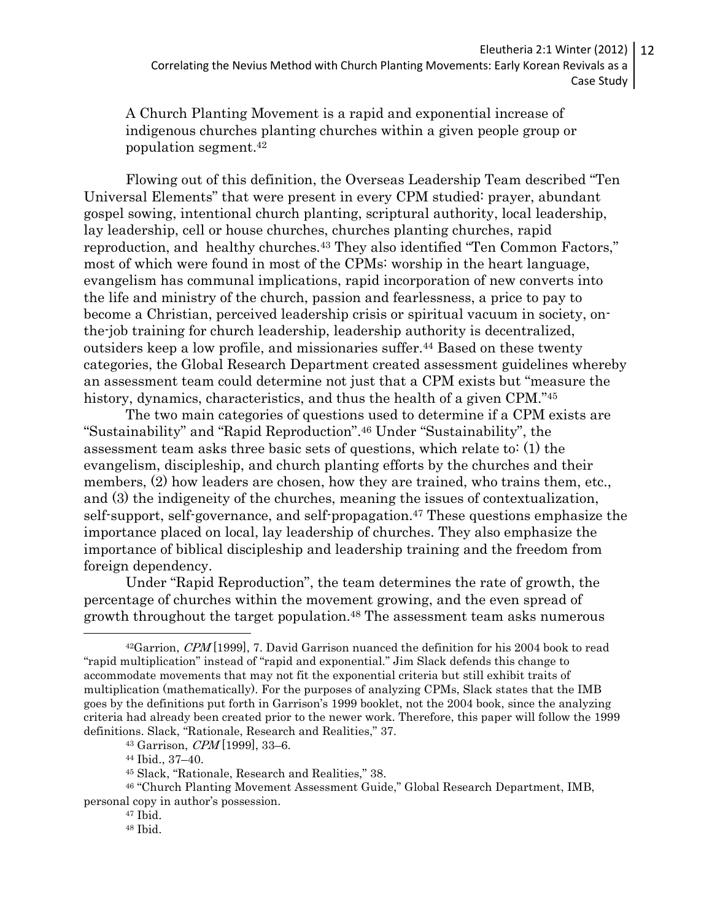A Church Planting Movement is a rapid and exponential increase of indigenous churches planting churches within a given people group or population segment.<sup>42</sup>

Flowing out of this definition, the Overseas Leadership Team described "Ten Universal Elements" that were present in every CPM studied: prayer, abundant gospel sowing, intentional church planting, scriptural authority, local leadership, lay leadership, cell or house churches, churches planting churches, rapid reproduction, and healthy churches.43 They also identified "Ten Common Factors," most of which were found in most of the CPMs: worship in the heart language, evangelism has communal implications, rapid incorporation of new converts into the life and ministry of the church, passion and fearlessness, a price to pay to become a Christian, perceived leadership crisis or spiritual vacuum in society, onthe-job training for church leadership, leadership authority is decentralized, outsiders keep a low profile, and missionaries suffer.44 Based on these twenty categories, the Global Research Department created assessment guidelines whereby an assessment team could determine not just that a CPM exists but "measure the history, dynamics, characteristics, and thus the health of a given CPM."<sup>45</sup>

The two main categories of questions used to determine if a CPM exists are "Sustainability" and "Rapid Reproduction".46 Under "Sustainability", the assessment team asks three basic sets of questions, which relate to: (1) the evangelism, discipleship, and church planting efforts by the churches and their members, (2) how leaders are chosen, how they are trained, who trains them, etc., and (3) the indigeneity of the churches, meaning the issues of contextualization, self-support, self-governance, and self-propagation.<sup>47</sup> These questions emphasize the importance placed on local, lay leadership of churches. They also emphasize the importance of biblical discipleship and leadership training and the freedom from foreign dependency.

Under "Rapid Reproduction", the team determines the rate of growth, the percentage of churches within the movement growing, and the even spread of growth throughout the target population.<sup>48</sup> The assessment team asks numerous  $\overline{a}$ 

 $42G$ arrion,  $CPM$ [1999], 7. David Garrison nuanced the definition for his 2004 book to read "rapid multiplication" instead of "rapid and exponential." Jim Slack defends this change to accommodate movements that may not fit the exponential criteria but still exhibit traits of multiplication (mathematically). For the purposes of analyzing CPMs, Slack states that the IMB goes by the definitions put forth in Garrison's 1999 booklet, not the 2004 book, since the analyzing criteria had already been created prior to the newer work. Therefore, this paper will follow the 1999 definitions. Slack, "Rationale, Research and Realities," 37.

 $43$  Garrison, *CPM* [1999], 33–6.

<sup>44</sup> Ibid., 37–40.

<sup>45</sup> Slack, "Rationale, Research and Realities," 38.

<sup>46</sup> "Church Planting Movement Assessment Guide," Global Research Department, IMB, personal copy in author's possession.

<sup>47</sup> Ibid.

<sup>48</sup> Ibid.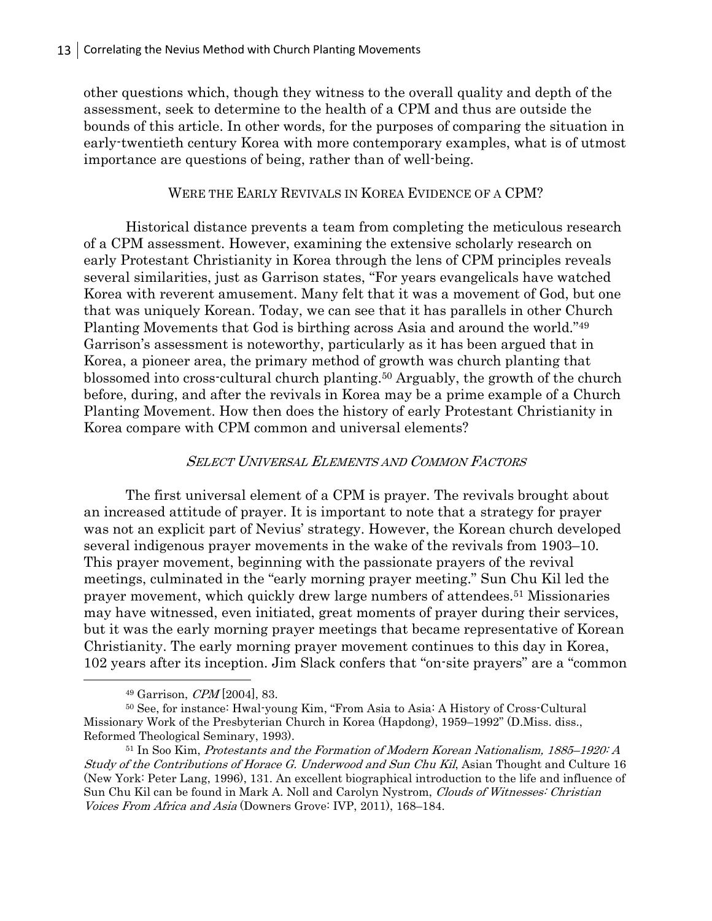other questions which, though they witness to the overall quality and depth of the assessment, seek to determine to the health of a CPM and thus are outside the bounds of this article. In other words, for the purposes of comparing the situation in early-twentieth century Korea with more contemporary examples, what is of utmost importance are questions of being, rather than of well-being.

# WERE THE EARLY REVIVALS IN KOREA EVIDENCE OF A CPM?

Historical distance prevents a team from completing the meticulous research of a CPM assessment. However, examining the extensive scholarly research on early Protestant Christianity in Korea through the lens of CPM principles reveals several similarities, just as Garrison states, "For years evangelicals have watched Korea with reverent amusement. Many felt that it was a movement of God, but one that was uniquely Korean. Today, we can see that it has parallels in other Church Planting Movements that God is birthing across Asia and around the world."<sup>49</sup> Garrison's assessment is noteworthy, particularly as it has been argued that in Korea, a pioneer area, the primary method of growth was church planting that blossomed into cross-cultural church planting.50 Arguably, the growth of the church before, during, and after the revivals in Korea may be a prime example of a Church Planting Movement. How then does the history of early Protestant Christianity in Korea compare with CPM common and universal elements?

# SELECT UNIVERSAL ELEMENTS AND COMMON FACTORS

The first universal element of a CPM is prayer. The revivals brought about an increased attitude of prayer. It is important to note that a strategy for prayer was not an explicit part of Nevius' strategy. However, the Korean church developed several indigenous prayer movements in the wake of the revivals from 1903–10. This prayer movement, beginning with the passionate prayers of the revival meetings, culminated in the "early morning prayer meeting." Sun Chu Kil led the prayer movement, which quickly drew large numbers of attendees.51 Missionaries may have witnessed, even initiated, great moments of prayer during their services, but it was the early morning prayer meetings that became representative of Korean Christianity. The early morning prayer movement continues to this day in Korea, 102 years after its inception. Jim Slack confers that "on-site prayers" are a "common  $\overline{a}$ 

 $49$  Garrison,  $\mathit{CPM}[2004]$ , 83.

<sup>50</sup> See, for instance: Hwal-young Kim, "From Asia to Asia: A History of Cross-Cultural Missionary Work of the Presbyterian Church in Korea (Hapdong), 1959–1992" (D.Miss. diss., Reformed Theological Seminary, 1993).

<sup>51</sup> In Soo Kim, Protestants and the Formation of Modern Korean Nationalism, 1885–1920: A Study of the Contributions of Horace G. Underwood and Sun Chu Kil, Asian Thought and Culture 16 (New York: Peter Lang, 1996), 131. An excellent biographical introduction to the life and influence of Sun Chu Kil can be found in Mark A. Noll and Carolyn Nystrom, Clouds of Witnesses: Christian Voices From Africa and Asia (Downers Grove: IVP, 2011), 168–184.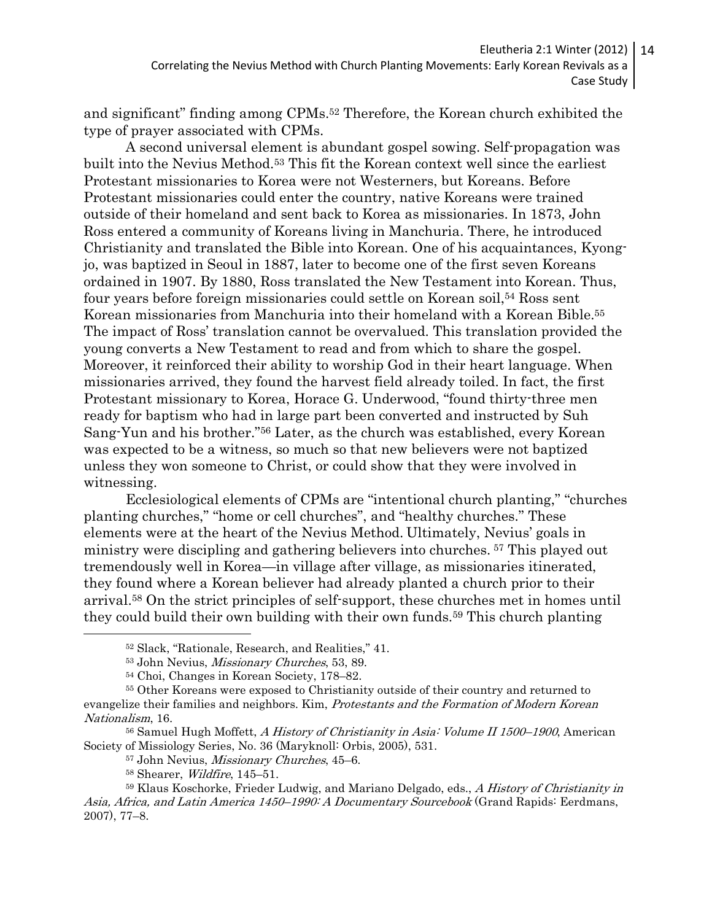and significant" finding among CPMs.52 Therefore, the Korean church exhibited the type of prayer associated with CPMs.

A second universal element is abundant gospel sowing. Self-propagation was built into the Nevius Method.53 This fit the Korean context well since the earliest Protestant missionaries to Korea were not Westerners, but Koreans. Before Protestant missionaries could enter the country, native Koreans were trained outside of their homeland and sent back to Korea as missionaries. In 1873, John Ross entered a community of Koreans living in Manchuria. There, he introduced Christianity and translated the Bible into Korean. One of his acquaintances, Kyongjo, was baptized in Seoul in 1887, later to become one of the first seven Koreans ordained in 1907. By 1880, Ross translated the New Testament into Korean. Thus, four years before foreign missionaries could settle on Korean soil,54 Ross sent Korean missionaries from Manchuria into their homeland with a Korean Bible.<sup>55</sup> The impact of Ross' translation cannot be overvalued. This translation provided the young converts a New Testament to read and from which to share the gospel. Moreover, it reinforced their ability to worship God in their heart language. When missionaries arrived, they found the harvest field already toiled. In fact, the first Protestant missionary to Korea, Horace G. Underwood, "found thirty-three men ready for baptism who had in large part been converted and instructed by Suh Sang-Yun and his brother."56 Later, as the church was established, every Korean was expected to be a witness, so much so that new believers were not baptized unless they won someone to Christ, or could show that they were involved in witnessing.

Ecclesiological elements of CPMs are "intentional church planting," "churches planting churches," "home or cell churches", and "healthy churches." These elements were at the heart of the Nevius Method. Ultimately, Nevius' goals in ministry were discipling and gathering believers into churches. 57 This played out tremendously well in Korea—in village after village, as missionaries itinerated, they found where a Korean believer had already planted a church prior to their arrival.58 On the strict principles of self-support, these churches met in homes until they could build their own building with their own funds. <sup>59</sup> This church planting  $\overline{a}$ 

<sup>52</sup> Slack, "Rationale, Research, and Realities," 41.

<sup>53</sup> John Nevius, Missionary Churches, 53, 89.

<sup>54</sup> Choi, Changes in Korean Society, 178–82.

<sup>55</sup> Other Koreans were exposed to Christianity outside of their country and returned to evangelize their families and neighbors. Kim, Protestants and the Formation of Modern Korean Nationalism, 16.

<sup>&</sup>lt;sup>56</sup> Samuel Hugh Moffett, A History of Christianity in Asia: Volume II 1500–1900, American Society of Missiology Series, No. 36 (Maryknoll: Orbis, 2005), 531.

<sup>57</sup> John Nevius, Missionary Churches, 45–6.

<sup>58</sup> Shearer, Wildfire, 145–51.

<sup>&</sup>lt;sup>59</sup> Klaus Koschorke, Frieder Ludwig, and Mariano Delgado, eds., A History of Christianity in Asia, Africa, and Latin America 1450–1990: A Documentary Sourcebook (Grand Rapids: Eerdmans, 2007), 77–8.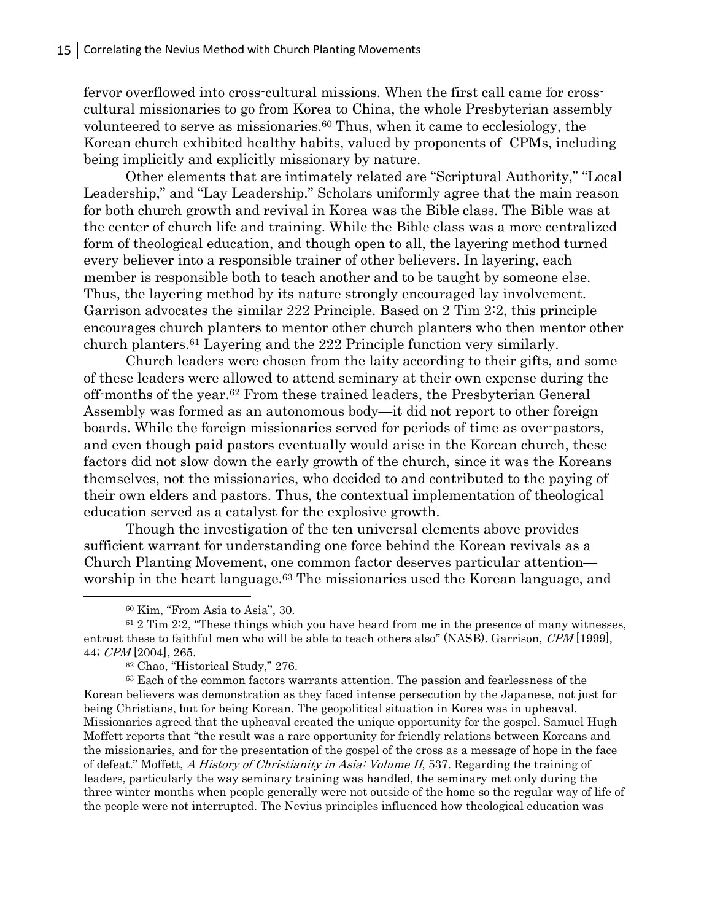fervor overflowed into cross-cultural missions. When the first call came for crosscultural missionaries to go from Korea to China, the whole Presbyterian assembly volunteered to serve as missionaries.60 Thus, when it came to ecclesiology, the Korean church exhibited healthy habits, valued by proponents of CPMs, including being implicitly and explicitly missionary by nature.

Other elements that are intimately related are "Scriptural Authority," "Local Leadership," and "Lay Leadership." Scholars uniformly agree that the main reason for both church growth and revival in Korea was the Bible class. The Bible was at the center of church life and training. While the Bible class was a more centralized form of theological education, and though open to all, the layering method turned every believer into a responsible trainer of other believers. In layering, each member is responsible both to teach another and to be taught by someone else. Thus, the layering method by its nature strongly encouraged lay involvement. Garrison advocates the similar 222 Principle. Based on 2 Tim 2:2, this principle encourages church planters to mentor other church planters who then mentor other church planters.61 Layering and the 222 Principle function very similarly.

Church leaders were chosen from the laity according to their gifts, and some of these leaders were allowed to attend seminary at their own expense during the off-months of the year.62 From these trained leaders, the Presbyterian General Assembly was formed as an autonomous body—it did not report to other foreign boards. While the foreign missionaries served for periods of time as over-pastors, and even though paid pastors eventually would arise in the Korean church, these factors did not slow down the early growth of the church, since it was the Koreans themselves, not the missionaries, who decided to and contributed to the paying of their own elders and pastors. Thus, the contextual implementation of theological education served as a catalyst for the explosive growth.

Though the investigation of the ten universal elements above provides sufficient warrant for understanding one force behind the Korean revivals as a Church Planting Movement, one common factor deserves particular attention worship in the heart language.63 The missionaries used the Korean language, and  $\overline{a}$ 

<sup>60</sup> Kim, "From Asia to Asia", 30.

 $61$  2 Tim 2:2, "These things which you have heard from me in the presence of many witnesses, entrust these to faithful men who will be able to teach others also" (NASB). Garrison, CPM [1999], 44; CPM [2004], 265.

<sup>62</sup> Chao, "Historical Study," 276.

<sup>63</sup> Each of the common factors warrants attention. The passion and fearlessness of the Korean believers was demonstration as they faced intense persecution by the Japanese, not just for being Christians, but for being Korean. The geopolitical situation in Korea was in upheaval. Missionaries agreed that the upheaval created the unique opportunity for the gospel. Samuel Hugh Moffett reports that "the result was a rare opportunity for friendly relations between Koreans and the missionaries, and for the presentation of the gospel of the cross as a message of hope in the face of defeat." Moffett, A History of Christianity in Asia: Volume II, 537. Regarding the training of leaders, particularly the way seminary training was handled, the seminary met only during the three winter months when people generally were not outside of the home so the regular way of life of the people were not interrupted. The Nevius principles influenced how theological education was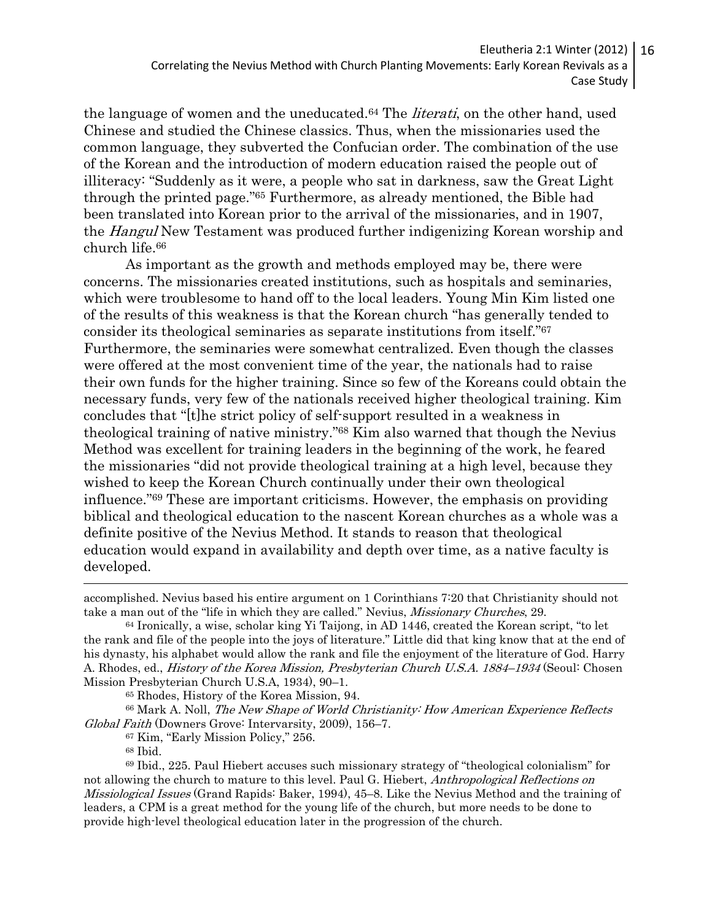the language of women and the uneducated.<sup>64</sup> The *literati*, on the other hand, used Chinese and studied the Chinese classics. Thus, when the missionaries used the common language, they subverted the Confucian order. The combination of the use of the Korean and the introduction of modern education raised the people out of illiteracy: "Suddenly as it were, a people who sat in darkness, saw the Great Light through the printed page."65 Furthermore, as already mentioned, the Bible had been translated into Korean prior to the arrival of the missionaries, and in 1907, the Hangul New Testament was produced further indigenizing Korean worship and church life.<sup>66</sup>

As important as the growth and methods employed may be, there were concerns. The missionaries created institutions, such as hospitals and seminaries, which were troublesome to hand off to the local leaders. Young Min Kim listed one of the results of this weakness is that the Korean church "has generally tended to consider its theological seminaries as separate institutions from itself."<sup>67</sup> Furthermore, the seminaries were somewhat centralized. Even though the classes were offered at the most convenient time of the year, the nationals had to raise their own funds for the higher training. Since so few of the Koreans could obtain the necessary funds, very few of the nationals received higher theological training. Kim concludes that "[t]he strict policy of self-support resulted in a weakness in theological training of native ministry."68 Kim also warned that though the Nevius Method was excellent for training leaders in the beginning of the work, he feared the missionaries "did not provide theological training at a high level, because they wished to keep the Korean Church continually under their own theological influence."69 These are important criticisms. However, the emphasis on providing biblical and theological education to the nascent Korean churches as a whole was a definite positive of the Nevius Method. It stands to reason that theological education would expand in availability and depth over time, as a native faculty is developed.  $\overline{a}$ 

accomplished. Nevius based his entire argument on 1 Corinthians 7:20 that Christianity should not take a man out of the "life in which they are called." Nevius, Missionary Churches, 29.

<sup>64</sup> Ironically, a wise, scholar king Yi Taijong, in AD 1446, created the Korean script, "to let the rank and file of the people into the joys of literature." Little did that king know that at the end of his dynasty, his alphabet would allow the rank and file the enjoyment of the literature of God. Harry A. Rhodes, ed., *History of the Korea Mission, Presbyterian Church U.S.A. 1884–1934* (Seoul: Chosen Mission Presbyterian Church U.S.A, 1934), 90–1.

<sup>65</sup> Rhodes, History of the Korea Mission, 94.

<sup>&</sup>lt;sup>66</sup> Mark A. Noll, *The New Shape of World Christianity: How American Experience Reflects* Global Faith (Downers Grove: Intervarsity, 2009), 156–7.

<sup>67</sup> Kim, "Early Mission Policy," 256.

<sup>68</sup> Ibid.

<sup>69</sup> Ibid., 225. Paul Hiebert accuses such missionary strategy of "theological colonialism" for not allowing the church to mature to this level. Paul G. Hiebert, Anthropological Reflections on Missiological Issues (Grand Rapids: Baker, 1994), 45–8. Like the Nevius Method and the training of leaders, a CPM is a great method for the young life of the church, but more needs to be done to provide high-level theological education later in the progression of the church.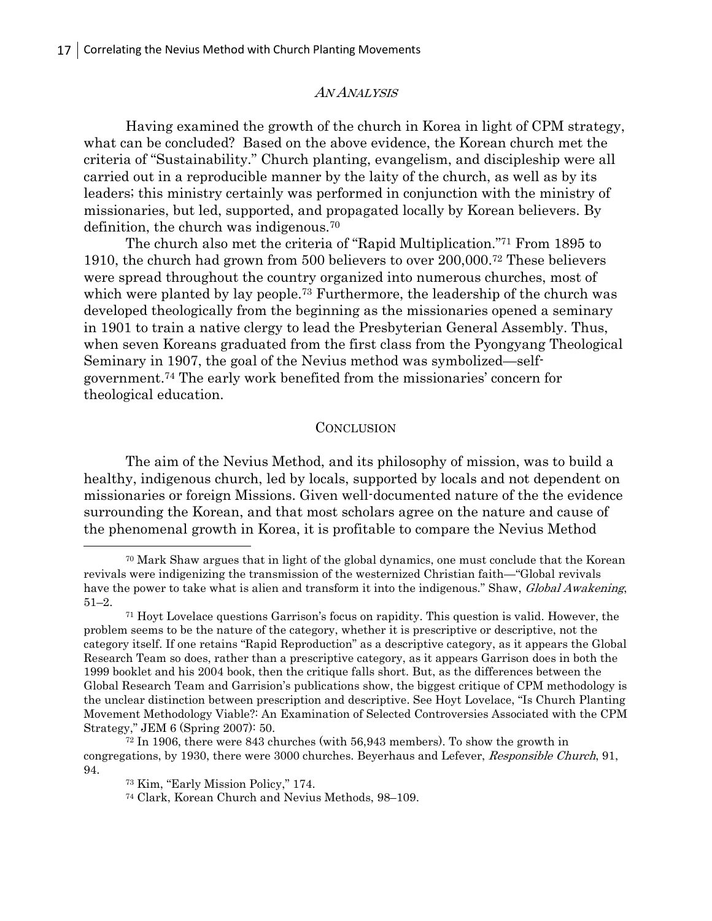#### AN ANALYSIS

Having examined the growth of the church in Korea in light of CPM strategy, what can be concluded? Based on the above evidence, the Korean church met the criteria of "Sustainability." Church planting, evangelism, and discipleship were all carried out in a reproducible manner by the laity of the church, as well as by its leaders; this ministry certainly was performed in conjunction with the ministry of missionaries, but led, supported, and propagated locally by Korean believers. By definition, the church was indigenous.<sup>70</sup>

The church also met the criteria of "Rapid Multiplication." <sup>71</sup> From 1895 to 1910, the church had grown from 500 believers to over 200,000.72 These believers were spread throughout the country organized into numerous churches, most of which were planted by lay people.<sup>73</sup> Furthermore, the leadership of the church was developed theologically from the beginning as the missionaries opened a seminary in 1901 to train a native clergy to lead the Presbyterian General Assembly. Thus, when seven Koreans graduated from the first class from the Pyongyang Theological Seminary in 1907, the goal of the Nevius method was symbolized—selfgovernment.74 The early work benefited from the missionaries' concern for theological education.

#### **CONCLUSION**

The aim of the Nevius Method, and its philosophy of mission, was to build a healthy, indigenous church, led by locals, supported by locals and not dependent on missionaries or foreign Missions. Given well-documented nature of the the evidence surrounding the Korean, and that most scholars agree on the nature and cause of the phenomenal growth in Korea, it is profitable to compare the Nevius Method  $\overline{a}$ 

<sup>70</sup> Mark Shaw argues that in light of the global dynamics, one must conclude that the Korean revivals were indigenizing the transmission of the westernized Christian faith—"Global revivals have the power to take what is alien and transform it into the indigenous." Shaw, *Global Awakening*, 51–2.

<sup>71</sup> Hoyt Lovelace questions Garrison's focus on rapidity. This question is valid. However, the problem seems to be the nature of the category, whether it is prescriptive or descriptive, not the category itself. If one retains "Rapid Reproduction" as a descriptive category, as it appears the Global Research Team so does, rather than a prescriptive category, as it appears Garrison does in both the 1999 booklet and his 2004 book, then the critique falls short. But, as the differences between the Global Research Team and Garrision's publications show, the biggest critique of CPM methodology is the unclear distinction between prescription and descriptive. See Hoyt Lovelace, "Is Church Planting Movement Methodology Viable?: An Examination of Selected Controversies Associated with the CPM Strategy," JEM 6 (Spring 2007): 50.

<sup>72</sup> In 1906, there were 843 churches (with 56,943 members). To show the growth in congregations, by 1930, there were 3000 churches. Beyerhaus and Lefever, Responsible Church, 91, 94.

<sup>73</sup> Kim, "Early Mission Policy," 174.

<sup>74</sup> Clark, Korean Church and Nevius Methods, 98–109.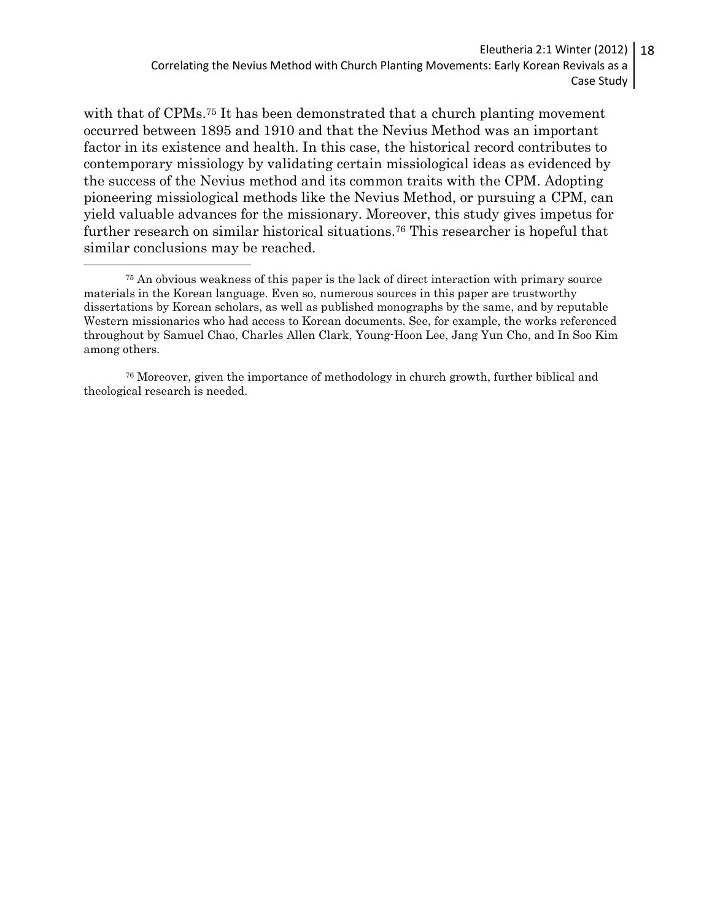Eleutheria 2:1 Winter (2012) Correlating the Nevius Method with Church Planting Movements: Early Korean Revivals as a Case Study 18

with that of CPMs.75 It has been demonstrated that a church planting movement occurred between 1895 and 1910 and that the Nevius Method was an important factor in its existence and health. In this case, the historical record contributes to contemporary missiology by validating certain missiological ideas as evidenced by the success of the Nevius method and its common traits with the CPM. Adopting pioneering missiological methods like the Nevius Method, or pursuing a CPM, can yield valuable advances for the missionary. Moreover, this study gives impetus for further research on similar historical situations.76 This researcher is hopeful that similar conclusions may be reached.  $\overline{a}$ 

<sup>76</sup> Moreover, given the importance of methodology in church growth, further biblical and theological research is needed.

<sup>75</sup> An obvious weakness of this paper is the lack of direct interaction with primary source materials in the Korean language. Even so, numerous sources in this paper are trustworthy dissertations by Korean scholars, as well as published monographs by the same, and by reputable Western missionaries who had access to Korean documents. See, for example, the works referenced throughout by Samuel Chao, Charles Allen Clark, Young-Hoon Lee, Jang Yun Cho, and In Soo Kim among others.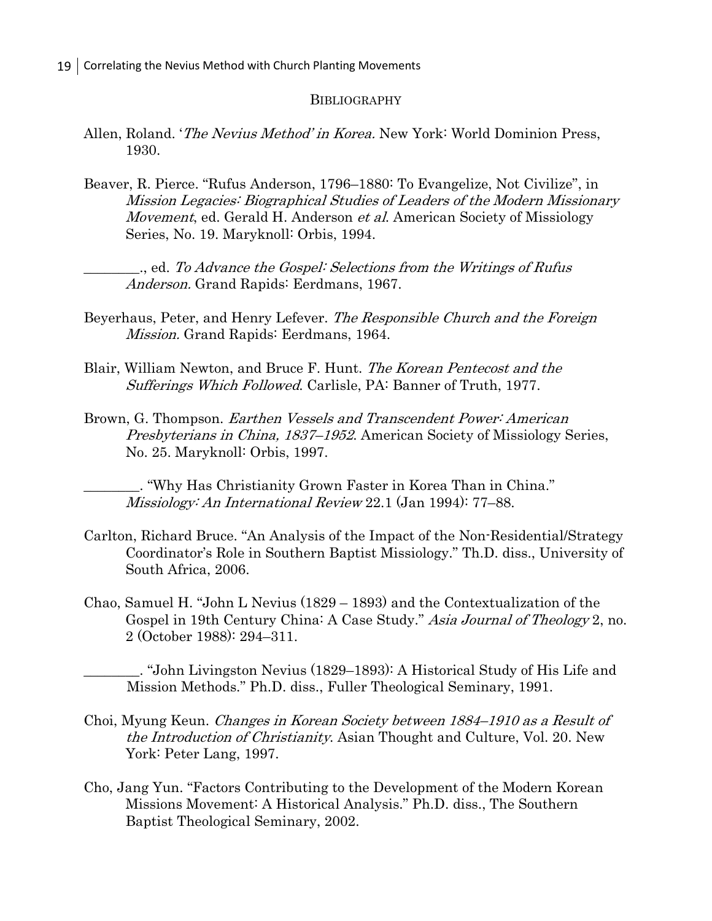#### **BIBLIOGRAPHY**

- Allen, Roland. 'The Nevius Method' in Korea. New York: World Dominion Press, 1930.
- Beaver, R. Pierce. "Rufus Anderson, 1796–1880: To Evangelize, Not Civilize", in Mission Legacies: Biographical Studies of Leaders of the Modern Missionary Movement, ed. Gerald H. Anderson et al. American Society of Missiology Series, No. 19. Maryknoll: Orbis, 1994.

\_\_\_\_\_\_\_\_., ed. To Advance the Gospel: Selections from the Writings of Rufus Anderson. Grand Rapids: Eerdmans, 1967.

- Beyerhaus, Peter, and Henry Lefever. The Responsible Church and the Foreign Mission. Grand Rapids: Eerdmans, 1964.
- Blair, William Newton, and Bruce F. Hunt. The Korean Pentecost and the Sufferings Which Followed. Carlisle, PA: Banner of Truth, 1977.
- Brown, G. Thompson. Earthen Vessels and Transcendent Power: American Presbyterians in China, 1837–1952. American Society of Missiology Series, No. 25. Maryknoll: Orbis, 1997.

\_\_\_\_\_\_\_\_. "Why Has Christianity Grown Faster in Korea Than in China." Missiology: An International Review 22.1 (Jan 1994): 77–88.

- Carlton, Richard Bruce. "An Analysis of the Impact of the Non-Residential/Strategy Coordinator's Role in Southern Baptist Missiology." Th.D. diss., University of South Africa, 2006.
- Chao, Samuel H. "John L Nevius (1829 1893) and the Contextualization of the Gospel in 19th Century China: A Case Study." Asia Journal of Theology 2, no. 2 (October 1988): 294–311.

\_\_\_\_\_\_\_\_. "John Livingston Nevius (1829–1893): A Historical Study of His Life and Mission Methods." Ph.D. diss., Fuller Theological Seminary, 1991.

- Choi, Myung Keun. Changes in Korean Society between 1884–1910 as a Result of the Introduction of Christianity. Asian Thought and Culture, Vol. 20. New York: Peter Lang, 1997.
- Cho, Jang Yun. "Factors Contributing to the Development of the Modern Korean Missions Movement: A Historical Analysis." Ph.D. diss., The Southern Baptist Theological Seminary, 2002.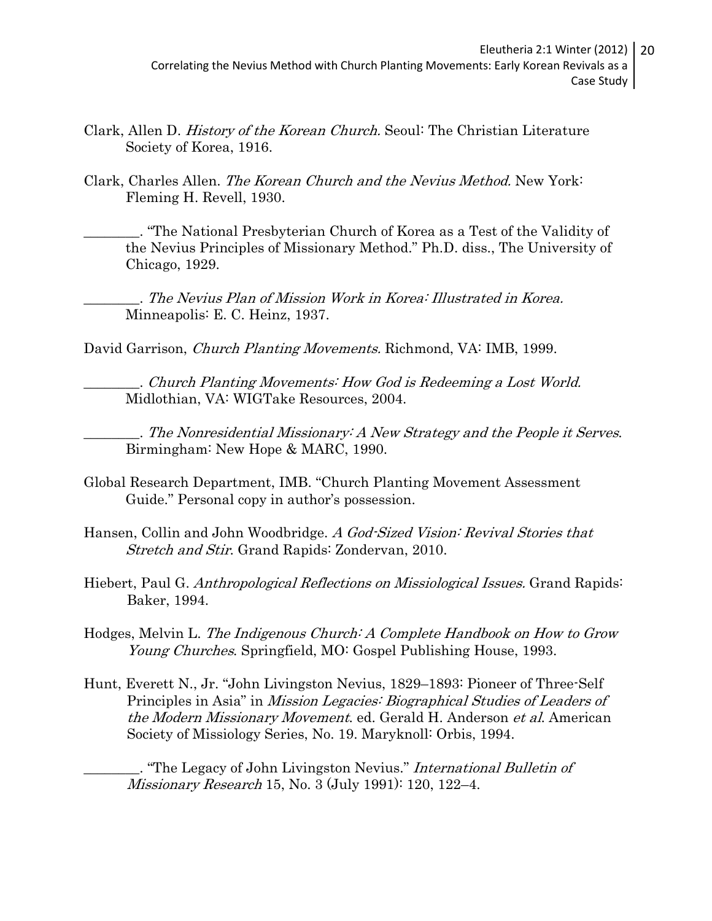- Clark, Allen D. History of the Korean Church. Seoul: The Christian Literature Society of Korea, 1916.
- Clark, Charles Allen. The Korean Church and the Nevius Method. New York: Fleming H. Revell, 1930.

\_\_\_\_\_\_\_\_. "The National Presbyterian Church of Korea as a Test of the Validity of the Nevius Principles of Missionary Method." Ph.D. diss., The University of Chicago, 1929.

\_\_\_\_\_\_\_\_. The Nevius Plan of Mission Work in Korea: Illustrated in Korea. Minneapolis: E. C. Heinz, 1937.

David Garrison, *Church Planting Movements.* Richmond, VA: IMB, 1999.

\_\_\_\_\_\_\_\_. Church Planting Movements: How God is Redeeming a Lost World. Midlothian, VA: WIGTake Resources, 2004.

\_\_\_\_\_\_\_\_. The Nonresidential Missionary: A New Strategy and the People it Serves. Birmingham: New Hope & MARC, 1990.

- Global Research Department, IMB. "Church Planting Movement Assessment Guide." Personal copy in author's possession.
- Hansen, Collin and John Woodbridge. A God-Sized Vision: Revival Stories that Stretch and Stir. Grand Rapids: Zondervan, 2010.
- Hiebert, Paul G. Anthropological Reflections on Missiological Issues. Grand Rapids: Baker, 1994.
- Hodges, Melvin L. The Indigenous Church: A Complete Handbook on How to Grow Young Churches. Springfield, MO: Gospel Publishing House, 1993.
- Hunt, Everett N., Jr. "John Livingston Nevius, 1829–1893: Pioneer of Three-Self Principles in Asia" in Mission Legacies: Biographical Studies of Leaders of the Modern Missionary Movement. ed. Gerald H. Anderson et al. American Society of Missiology Series, No. 19. Maryknoll: Orbis, 1994.

. "The Legacy of John Livingston Nevius." International Bulletin of Missionary Research 15, No. 3 (July 1991): 120, 122–4.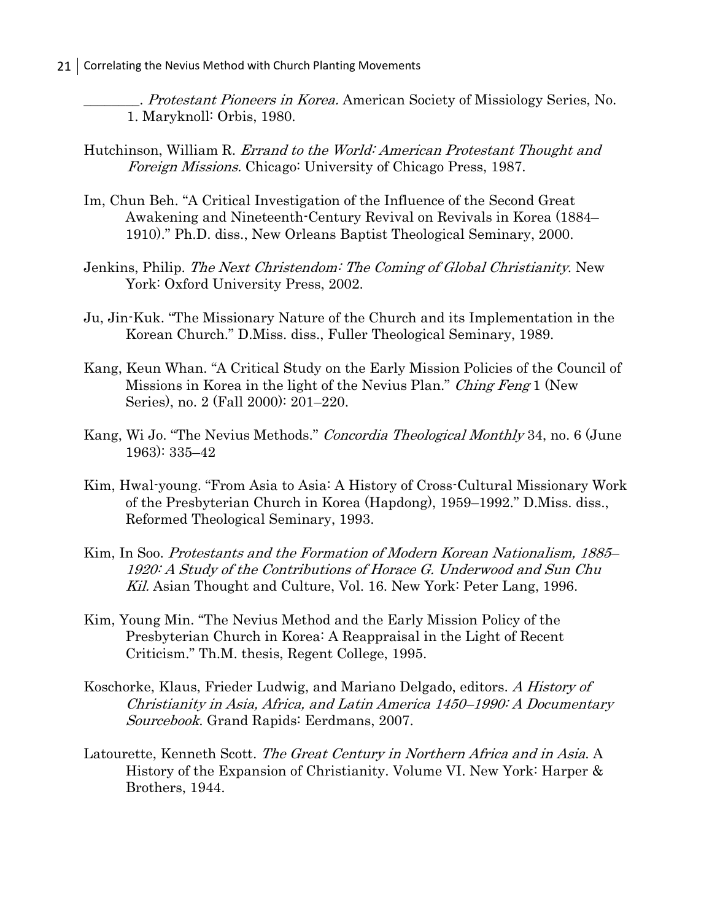. Protestant Pioneers in Korea. American Society of Missiology Series, No. 1. Maryknoll: Orbis, 1980.

- Hutchinson, William R. Errand to the World: American Protestant Thought and Foreign Missions. Chicago: University of Chicago Press, 1987.
- Im, Chun Beh. "A Critical Investigation of the Influence of the Second Great Awakening and Nineteenth-Century Revival on Revivals in Korea (1884– 1910)." Ph.D. diss., New Orleans Baptist Theological Seminary, 2000.
- Jenkins, Philip. The Next Christendom: The Coming of Global Christianity. New York: Oxford University Press, 2002.
- Ju, Jin-Kuk. "The Missionary Nature of the Church and its Implementation in the Korean Church." D.Miss. diss., Fuller Theological Seminary, 1989.
- Kang, Keun Whan. "A Critical Study on the Early Mission Policies of the Council of Missions in Korea in the light of the Nevius Plan." Ching Feng 1 (New Series), no. 2 (Fall 2000): 201–220.
- Kang, Wi Jo. "The Nevius Methods." Concordia Theological Monthly 34, no. 6 (June 1963): 335–42
- Kim, Hwal-young. "From Asia to Asia: A History of Cross-Cultural Missionary Work of the Presbyterian Church in Korea (Hapdong), 1959–1992." D.Miss. diss., Reformed Theological Seminary, 1993.
- Kim, In Soo. Protestants and the Formation of Modern Korean Nationalism, 1885– 1920: A Study of the Contributions of Horace G. Underwood and Sun Chu Kil. Asian Thought and Culture, Vol. 16. New York: Peter Lang, 1996.
- Kim, Young Min. "The Nevius Method and the Early Mission Policy of the Presbyterian Church in Korea: A Reappraisal in the Light of Recent Criticism." Th.M. thesis, Regent College, 1995.
- Koschorke, Klaus, Frieder Ludwig, and Mariano Delgado, editors. A History of Christianity in Asia, Africa, and Latin America 1450–1990: A Documentary Sourcebook. Grand Rapids: Eerdmans, 2007.
- Latourette, Kenneth Scott. The Great Century in Northern Africa and in Asia. A History of the Expansion of Christianity. Volume VI. New York: Harper & Brothers, 1944.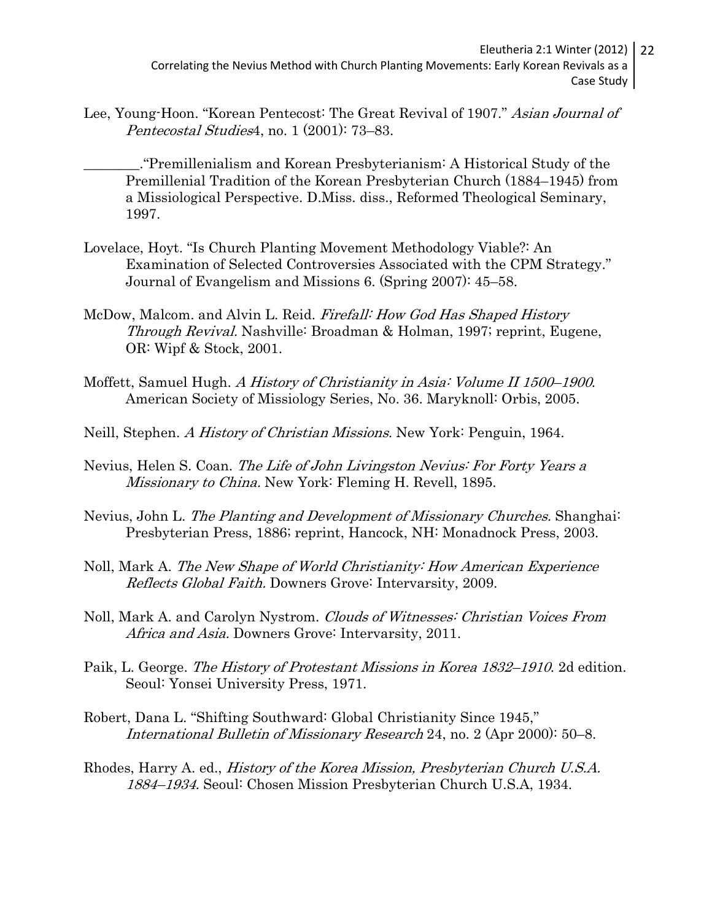Lee, Young-Hoon. "Korean Pentecost: The Great Revival of 1907." Asian Journal of Pentecostal Studies4, no. 1 (2001): 73–83.

\_\_\_\_\_\_\_\_."Premillenialism and Korean Presbyterianism: A Historical Study of the Premillenial Tradition of the Korean Presbyterian Church (1884–1945) from a Missiological Perspective. D.Miss. diss., Reformed Theological Seminary, 1997.

- Lovelace, Hoyt. "Is Church Planting Movement Methodology Viable?: An Examination of Selected Controversies Associated with the CPM Strategy." Journal of Evangelism and Missions 6. (Spring 2007): 45–58.
- McDow, Malcom. and Alvin L. Reid. Firefall: How God Has Shaped History Through Revival. Nashville: Broadman & Holman, 1997; reprint, Eugene, OR: Wipf & Stock, 2001.
- Moffett, Samuel Hugh. A History of Christianity in Asia: Volume II 1500–1900. American Society of Missiology Series, No. 36. Maryknoll: Orbis, 2005.
- Neill, Stephen. A History of Christian Missions. New York: Penguin, 1964.
- Nevius, Helen S. Coan. The Life of John Livingston Nevius: For Forty Years a Missionary to China. New York: Fleming H. Revell, 1895.
- Nevius, John L. The Planting and Development of Missionary Churches. Shanghai: Presbyterian Press, 1886; reprint, Hancock, NH: Monadnock Press, 2003.
- Noll, Mark A. The New Shape of World Christianity: How American Experience Reflects Global Faith. Downers Grove: Intervarsity, 2009.
- Noll, Mark A. and Carolyn Nystrom. Clouds of Witnesses: Christian Voices From Africa and Asia. Downers Grove: Intervarsity, 2011.
- Paik, L. George. The History of Protestant Missions in Korea 1832–1910. 2d edition. Seoul: Yonsei University Press, 1971.
- Robert, Dana L. "Shifting Southward: Global Christianity Since 1945," International Bulletin of Missionary Research 24, no. 2 (Apr 2000): 50–8.
- Rhodes, Harry A. ed., History of the Korea Mission, Presbyterian Church U.S.A. 1884–1934. Seoul: Chosen Mission Presbyterian Church U.S.A, 1934.